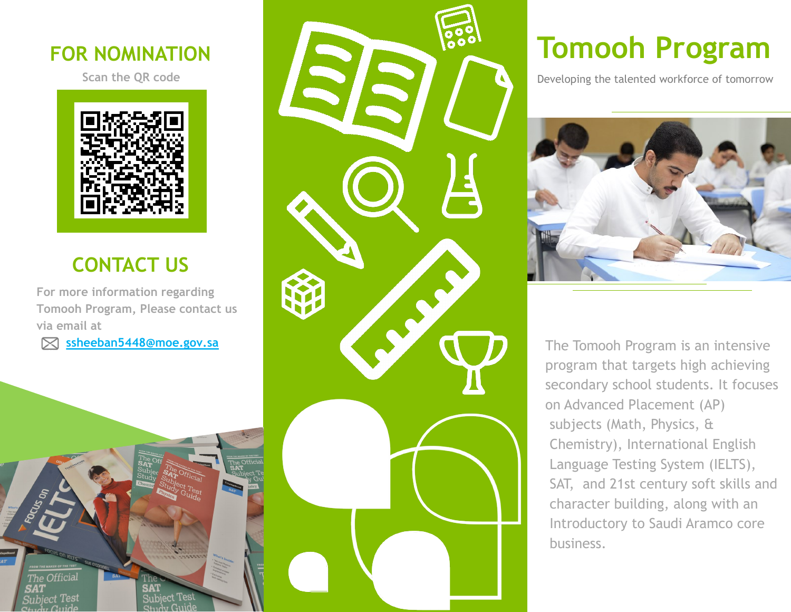#### **FOR NOMINATION**

**Scan the QR code**



### **CONTACT US**

**For more information regarding Tomooh Program, Please contact us via email at**

 **ssheeban5448@moe.gov.sa** 

Subject Tes

The Official

**Subject Test** 



# **Tomooh Program**

Developing the talented workforce of tomorrow



The Tomooh Program is an intensive program that targets high achieving secondary school students. It focuses on Advanced Placement (AP) subjects (Math, Physics, & Chemistry), International English Language Testing System (IELTS), SAT, and 21st century soft skills and character building, along with an Introductory to Saudi Aramco core business.